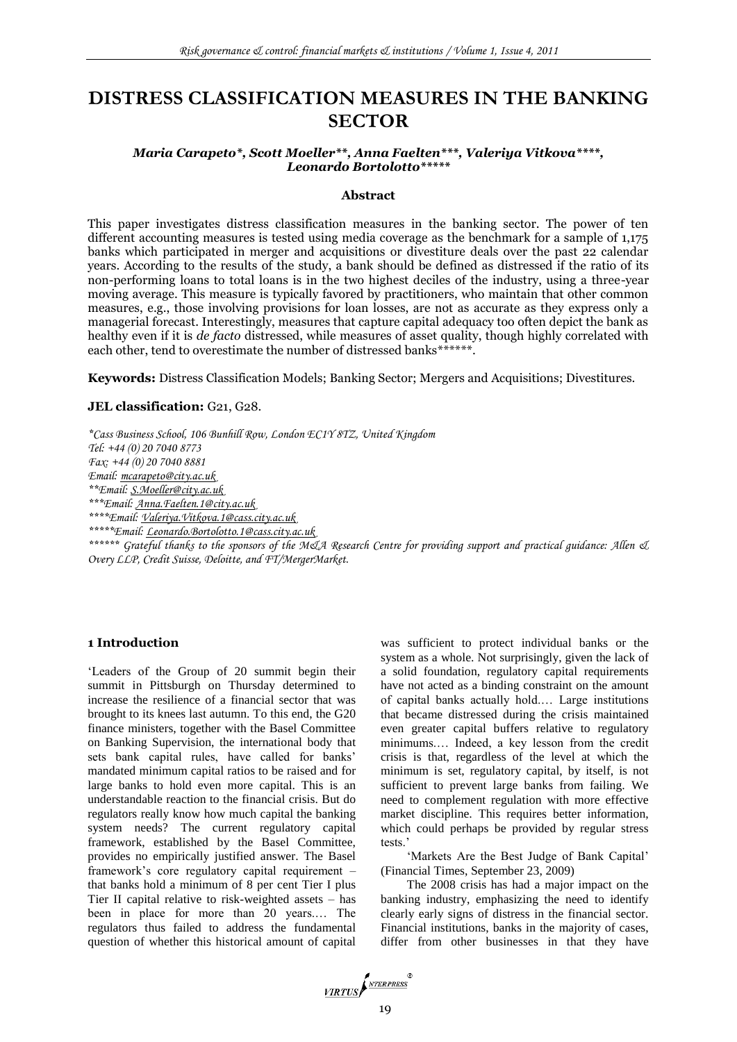# **DISTRESS CLASSIFICATION MEASURES IN THE BANKING SECTOR**

## *Maria Carapeto\*, Scott Moeller\*\*, Anna Faelten\*\*\*, Valeriya Vitkova\*\*\*\*, Leonardo Bortolotto\*\*\*\*\**

### **Abstract**

This paper investigates distress classification measures in the banking sector. The power of ten different accounting measures is tested using media coverage as the benchmark for a sample of 1,175 banks which participated in merger and acquisitions or divestiture deals over the past 22 calendar years. According to the results of the study, a bank should be defined as distressed if the ratio of its non-performing loans to total loans is in the two highest deciles of the industry, using a three-year moving average. This measure is typically favored by practitioners, who maintain that other common measures, e.g., those involving provisions for loan losses, are not as accurate as they express only a managerial forecast. Interestingly, measures that capture capital adequacy too often depict the bank as healthy even if it is *de facto* distressed, while measures of asset quality, though highly correlated with each other, tend to overestimate the number of distressed banks\*\*\*\*\*\*.

**Keywords:** Distress Classification Models; Banking Sector; Mergers and Acquisitions; Divestitures.

#### JEL classification: G21, G28.

*\*Cass Business School, 106 Bunhill Row, London EC1Y 8TZ, United Kingdom Tel: +44 (0) 20 7040 8773 Fax: +44 (0) 20 7040 8881 Email: [mcarapeto@city.ac.uk](mailto:mcarapeto@city.ac.uk) \*\*Email[: S.Moeller@city.ac.uk](mailto:S.Moeller@city.ac.uk) \*\*\*Email[: Anna.Faelten.1@city.ac.uk](mailto:Anna.Faelten.1@city.ac.uk) \*\*\*\*Email: [Valeriya.Vitkova.1@cass.city.ac.uk](mailto:Valeriya.Vitkova.1@cass.city.ac.uk) \*\*\*\*\*Email: [Leonardo.Bortolotto.1@cass.city.ac.uk](mailto:Leonardo.Bortolotto.1@cass.city.ac.uk) \*\*\*\*\*\* Grateful thanks to the sponsors of the M&A Research Centre for providing support and practical guidance: Allen & Overy LLP, Credit Suisse, Deloitte, and FT/MergerMarket.*

## **1 Introduction**

"Leaders of the Group of 20 summit begin their summit in Pittsburgh on Thursday determined to increase the resilience of a financial sector that was brought to its knees last autumn. To this end, the G20 finance ministers, together with the Basel Committee on Banking Supervision, the international body that sets bank capital rules, have called for banks' mandated minimum capital ratios to be raised and for large banks to hold even more capital. This is an understandable reaction to the financial crisis. But do regulators really know how much capital the banking system needs? The current regulatory capital framework, established by the Basel Committee, provides no empirically justified answer. The Basel framework"s core regulatory capital requirement – that banks hold a minimum of 8 per cent Tier I plus Tier II capital relative to risk-weighted assets – has been in place for more than 20 years.… The regulators thus failed to address the fundamental question of whether this historical amount of capital

was sufficient to protect individual banks or the system as a whole. Not surprisingly, given the lack of a solid foundation, regulatory capital requirements have not acted as a binding constraint on the amount of capital banks actually hold.… Large institutions that became distressed during the crisis maintained even greater capital buffers relative to regulatory minimums.… Indeed, a key lesson from the credit crisis is that, regardless of the level at which the minimum is set, regulatory capital, by itself, is not sufficient to prevent large banks from failing. We need to complement regulation with more effective market discipline. This requires better information, which could perhaps be provided by regular stress tests."

'Markets Are the Best Judge of Bank Capital' (Financial Times, September 23, 2009)

The 2008 crisis has had a major impact on the banking industry, emphasizing the need to identify clearly early signs of distress in the financial sector. Financial institutions, banks in the majority of cases, differ from other businesses in that they have

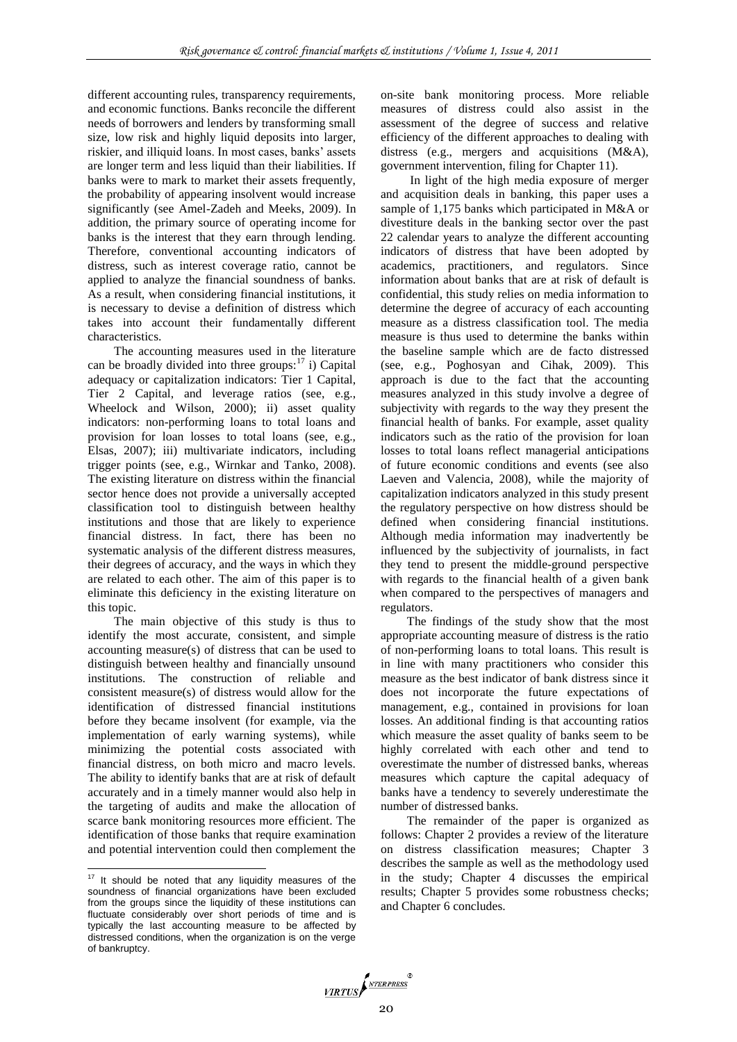different accounting rules, transparency requirements, and economic functions. Banks reconcile the different needs of borrowers and lenders by transforming small size, low risk and highly liquid deposits into larger, riskier, and illiquid loans. In most cases, banks" assets are longer term and less liquid than their liabilities. If banks were to mark to market their assets frequently, the probability of appearing insolvent would increase significantly (see Amel-Zadeh and Meeks, 2009). In addition, the primary source of operating income for banks is the interest that they earn through lending. Therefore, conventional accounting indicators of distress, such as interest coverage ratio, cannot be applied to analyze the financial soundness of banks. As a result, when considering financial institutions, it is necessary to devise a definition of distress which takes into account their fundamentally different characteristics.

The accounting measures used in the literature can be broadly divided into three groups: $17$  i) Capital adequacy or capitalization indicators: Tier 1 Capital, Tier 2 Capital, and leverage ratios (see, e.g., Wheelock and Wilson, 2000); ii) asset quality indicators: non-performing loans to total loans and provision for loan losses to total loans (see, e.g., Elsas, 2007); iii) multivariate indicators, including trigger points (see, e.g., Wirnkar and Tanko, 2008). The existing literature on distress within the financial sector hence does not provide a universally accepted classification tool to distinguish between healthy institutions and those that are likely to experience financial distress. In fact, there has been no systematic analysis of the different distress measures, their degrees of accuracy, and the ways in which they are related to each other. The aim of this paper is to eliminate this deficiency in the existing literature on this topic.

The main objective of this study is thus to identify the most accurate, consistent, and simple accounting measure(s) of distress that can be used to distinguish between healthy and financially unsound institutions. The construction of reliable and consistent measure(s) of distress would allow for the identification of distressed financial institutions before they became insolvent (for example, via the implementation of early warning systems), while minimizing the potential costs associated with financial distress, on both micro and macro levels. The ability to identify banks that are at risk of default accurately and in a timely manner would also help in the targeting of audits and make the allocation of scarce bank monitoring resources more efficient. The identification of those banks that require examination and potential intervention could then complement the

l

on-site bank monitoring process. More reliable measures of distress could also assist in the assessment of the degree of success and relative efficiency of the different approaches to dealing with distress (e.g., mergers and acquisitions (M&A), government intervention, filing for Chapter 11).

In light of the high media exposure of merger and acquisition deals in banking, this paper uses a sample of 1,175 banks which participated in M&A or divestiture deals in the banking sector over the past 22 calendar years to analyze the different accounting indicators of distress that have been adopted by academics, practitioners, and regulators. Since information about banks that are at risk of default is confidential, this study relies on media information to determine the degree of accuracy of each accounting measure as a distress classification tool. The media measure is thus used to determine the banks within the baseline sample which are de facto distressed (see, e.g., Poghosyan and Cihak, 2009). This approach is due to the fact that the accounting measures analyzed in this study involve a degree of subjectivity with regards to the way they present the financial health of banks. For example, asset quality indicators such as the ratio of the provision for loan losses to total loans reflect managerial anticipations of future economic conditions and events (see also Laeven and Valencia, 2008), while the majority of capitalization indicators analyzed in this study present the regulatory perspective on how distress should be defined when considering financial institutions. Although media information may inadvertently be influenced by the subjectivity of journalists, in fact they tend to present the middle-ground perspective with regards to the financial health of a given bank when compared to the perspectives of managers and regulators.

The findings of the study show that the most appropriate accounting measure of distress is the ratio of non-performing loans to total loans. This result is in line with many practitioners who consider this measure as the best indicator of bank distress since it does not incorporate the future expectations of management, e.g., contained in provisions for loan losses. An additional finding is that accounting ratios which measure the asset quality of banks seem to be highly correlated with each other and tend to overestimate the number of distressed banks, whereas measures which capture the capital adequacy of banks have a tendency to severely underestimate the number of distressed banks.

The remainder of the paper is organized as follows: Chapter 2 provides a review of the literature on distress classification measures; Chapter 3 describes the sample as well as the methodology used in the study; Chapter 4 discusses the empirical results; Chapter 5 provides some robustness checks; and Chapter 6 concludes.



 $17$  It should be noted that any liquidity measures of the soundness of financial organizations have been excluded from the groups since the liquidity of these institutions can fluctuate considerably over short periods of time and is typically the last accounting measure to be affected by distressed conditions, when the organization is on the verge of bankruptcy.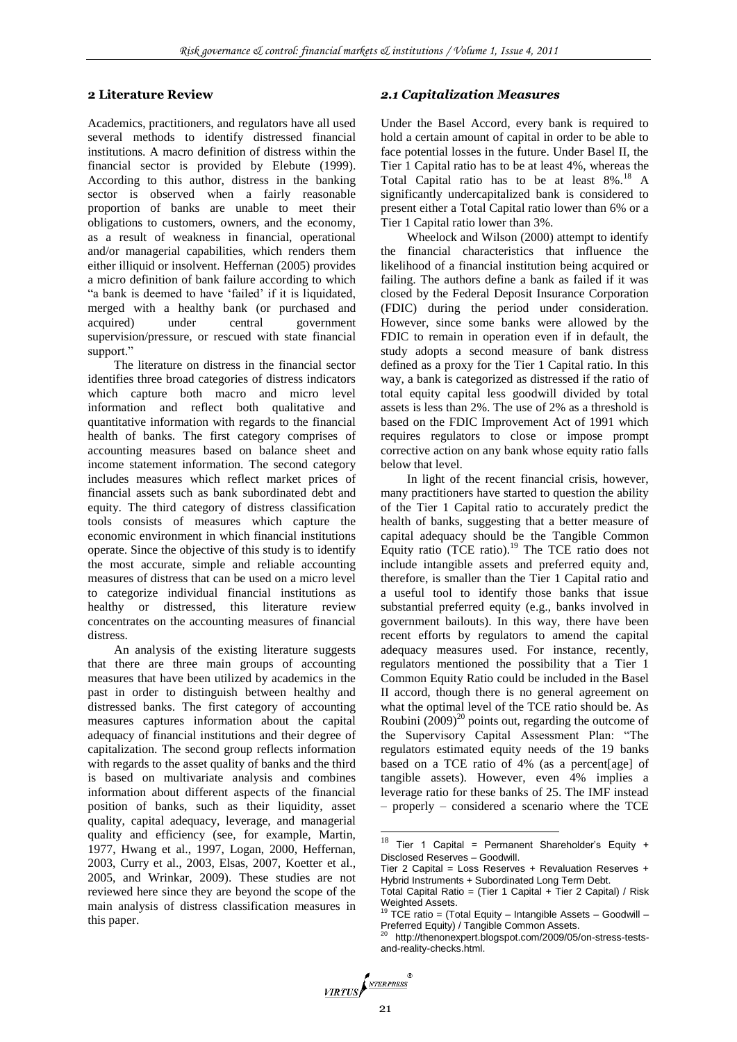#### **2 Literature Review**

Academics, practitioners, and regulators have all used several methods to identify distressed financial institutions. A macro definition of distress within the financial sector is provided by Elebute (1999). According to this author, distress in the banking sector is observed when a fairly reasonable proportion of banks are unable to meet their obligations to customers, owners, and the economy, as a result of weakness in financial, operational and/or managerial capabilities, which renders them either illiquid or insolvent. Heffernan (2005) provides a micro definition of bank failure according to which "a bank is deemed to have "failed" if it is liquidated, merged with a healthy bank (or purchased and acquired) under central government supervision/pressure, or rescued with state financial support."

The literature on distress in the financial sector identifies three broad categories of distress indicators which capture both macro and micro level information and reflect both qualitative and quantitative information with regards to the financial health of banks. The first category comprises of accounting measures based on balance sheet and income statement information. The second category includes measures which reflect market prices of financial assets such as bank subordinated debt and equity. The third category of distress classification tools consists of measures which capture the economic environment in which financial institutions operate. Since the objective of this study is to identify the most accurate, simple and reliable accounting measures of distress that can be used on a micro level to categorize individual financial institutions as healthy or distressed, this literature review concentrates on the accounting measures of financial distress.

An analysis of the existing literature suggests that there are three main groups of accounting measures that have been utilized by academics in the past in order to distinguish between healthy and distressed banks. The first category of accounting measures captures information about the capital adequacy of financial institutions and their degree of capitalization. The second group reflects information with regards to the asset quality of banks and the third is based on multivariate analysis and combines information about different aspects of the financial position of banks, such as their liquidity, asset quality, capital adequacy, leverage, and managerial quality and efficiency (see, for example, Martin, 1977, Hwang et al., 1997, Logan, 2000, Heffernan, 2003, Curry et al., 2003, Elsas, 2007, Koetter et al., 2005, and Wrinkar, 2009). These studies are not reviewed here since they are beyond the scope of the main analysis of distress classification measures in this paper.

#### *2.1 Capitalization Measures*

Under the Basel Accord, every bank is required to hold a certain amount of capital in order to be able to face potential losses in the future. Under Basel II, the Tier 1 Capital ratio has to be at least 4%, whereas the Total Capital ratio has to be at least  $8\%$ .<sup>18</sup> A significantly undercapitalized bank is considered to present either a Total Capital ratio lower than 6% or a Tier 1 Capital ratio lower than 3%.

Wheelock and Wilson (2000) attempt to identify the financial characteristics that influence the likelihood of a financial institution being acquired or failing. The authors define a bank as failed if it was closed by the Federal Deposit Insurance Corporation (FDIC) during the period under consideration. However, since some banks were allowed by the FDIC to remain in operation even if in default, the study adopts a second measure of bank distress defined as a proxy for the Tier 1 Capital ratio. In this way, a bank is categorized as distressed if the ratio of total equity capital less goodwill divided by total assets is less than 2%. The use of 2% as a threshold is based on the FDIC Improvement Act of 1991 which requires regulators to close or impose prompt corrective action on any bank whose equity ratio falls below that level.

In light of the recent financial crisis, however, many practitioners have started to question the ability of the Tier 1 Capital ratio to accurately predict the health of banks, suggesting that a better measure of capital adequacy should be the Tangible Common Equity ratio (TCE ratio). $19$  The TCE ratio does not include intangible assets and preferred equity and, therefore, is smaller than the Tier 1 Capital ratio and a useful tool to identify those banks that issue substantial preferred equity (e.g., banks involved in government bailouts). In this way, there have been recent efforts by regulators to amend the capital adequacy measures used. For instance, recently, regulators mentioned the possibility that a Tier 1 Common Equity Ratio could be included in the Basel II accord, though there is no general agreement on what the optimal level of the TCE ratio should be. As Roubini  $(2009)^{20}$  points out, regarding the outcome of the Supervisory Capital Assessment Plan: "The regulators estimated equity needs of the 19 banks based on a TCE ratio of 4% (as a percent[age] of tangible assets). However, even 4% implies a leverage ratio for these banks of 25. The IMF instead – properly – considered a scenario where the TCE

 $\overline{a}$ 

<sup>&</sup>lt;sup>18</sup> Tier 1 Capital = Permanent Shareholder's Equity + Disclosed Reserves – Goodwill.

Tier 2 Capital = Loss Reserves + Revaluation Reserves + Hybrid Instruments + Subordinated Long Term Debt.

Total Capital Ratio = (Tier 1 Capital + Tier 2 Capital) / Risk Weighted Assets.

<sup>19</sup> TCE ratio = (Total Equity – Intangible Assets – Goodwill – Preferred Equity) / Tangible Common Assets.

<sup>20</sup> http://thenonexpert.blogspot.com/2009/05/on-stress-testsand-reality-checks.html.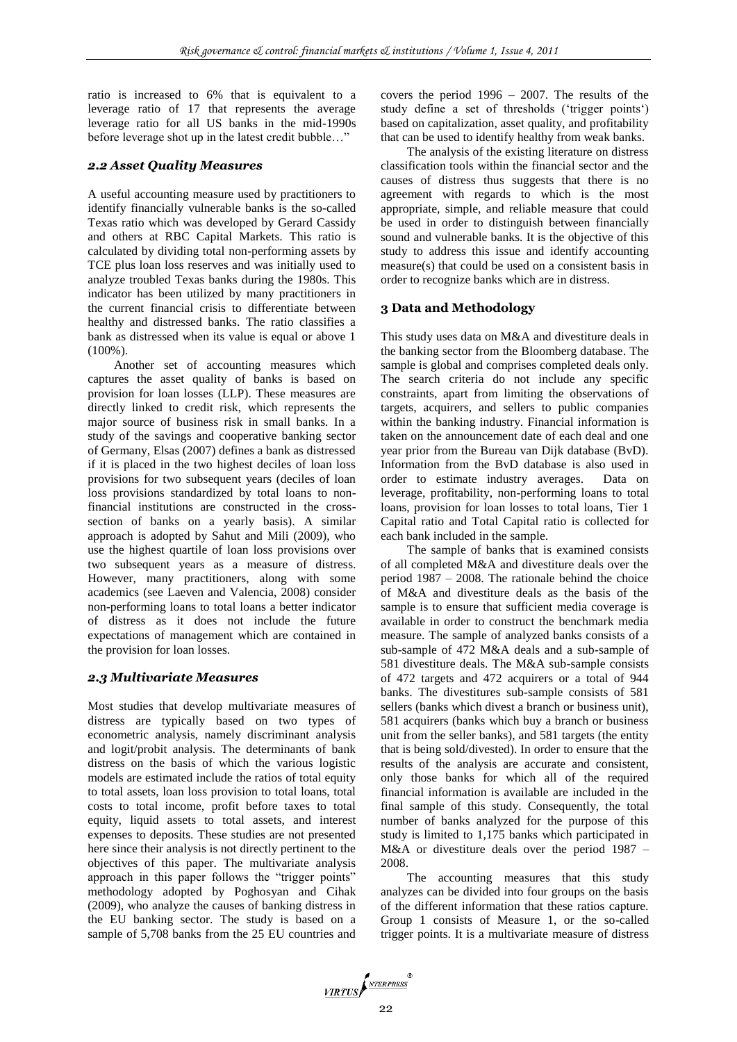ratio is increased to 6% that is equivalent to a leverage ratio of 17 that represents the average leverage ratio for all US banks in the mid-1990s before leverage shot up in the latest credit bubble…"

#### *2.2 Asset Quality Measures*

A useful accounting measure used by practitioners to identify financially vulnerable banks is the so-called Texas ratio which was developed by Gerard Cassidy and others at RBC Capital Markets. This ratio is calculated by dividing total non-performing assets by TCE plus loan loss reserves and was initially used to analyze troubled Texas banks during the 1980s. This indicator has been utilized by many practitioners in the current financial crisis to differentiate between healthy and distressed banks. The ratio classifies a bank as distressed when its value is equal or above 1 (100%).

Another set of accounting measures which captures the asset quality of banks is based on provision for loan losses (LLP). These measures are directly linked to credit risk, which represents the major source of business risk in small banks. In a study of the savings and cooperative banking sector of Germany, Elsas (2007) defines a bank as distressed if it is placed in the two highest deciles of loan loss provisions for two subsequent years (deciles of loan loss provisions standardized by total loans to nonfinancial institutions are constructed in the crosssection of banks on a yearly basis). A similar approach is adopted by Sahut and Mili (2009), who use the highest quartile of loan loss provisions over two subsequent years as a measure of distress. However, many practitioners, along with some academics (see Laeven and Valencia, 2008) consider non-performing loans to total loans a better indicator of distress as it does not include the future expectations of management which are contained in the provision for loan losses.

#### *2.3 Multivariate Measures*

Most studies that develop multivariate measures of distress are typically based on two types of econometric analysis, namely discriminant analysis and logit/probit analysis. The determinants of bank distress on the basis of which the various logistic models are estimated include the ratios of total equity to total assets, loan loss provision to total loans, total costs to total income, profit before taxes to total equity, liquid assets to total assets, and interest expenses to deposits. These studies are not presented here since their analysis is not directly pertinent to the objectives of this paper. The multivariate analysis approach in this paper follows the "trigger points" methodology adopted by Poghosyan and Cihak (2009), who analyze the causes of banking distress in the EU banking sector. The study is based on a sample of 5,708 banks from the 25 EU countries and covers the period 1996 – 2007. The results of the study define a set of thresholds ('trigger points') based on capitalization, asset quality, and profitability that can be used to identify healthy from weak banks.

The analysis of the existing literature on distress classification tools within the financial sector and the causes of distress thus suggests that there is no agreement with regards to which is the most appropriate, simple, and reliable measure that could be used in order to distinguish between financially sound and vulnerable banks. It is the objective of this study to address this issue and identify accounting measure(s) that could be used on a consistent basis in order to recognize banks which are in distress.

#### **3 Data and Methodology**

This study uses data on M&A and divestiture deals in the banking sector from the Bloomberg database. The sample is global and comprises completed deals only. The search criteria do not include any specific constraints, apart from limiting the observations of targets, acquirers, and sellers to public companies within the banking industry. Financial information is taken on the announcement date of each deal and one year prior from the Bureau van Dijk database (BvD). Information from the BvD database is also used in order to estimate industry averages. Data on leverage, profitability, non-performing loans to total loans, provision for loan losses to total loans, Tier 1 Capital ratio and Total Capital ratio is collected for each bank included in the sample.

The sample of banks that is examined consists of all completed M&A and divestiture deals over the period 1987 – 2008. The rationale behind the choice of M&A and divestiture deals as the basis of the sample is to ensure that sufficient media coverage is available in order to construct the benchmark media measure. The sample of analyzed banks consists of a sub-sample of 472 M&A deals and a sub-sample of 581 divestiture deals. The M&A sub-sample consists of 472 targets and 472 acquirers or a total of 944 banks. The divestitures sub-sample consists of 581 sellers (banks which divest a branch or business unit), 581 acquirers (banks which buy a branch or business unit from the seller banks), and 581 targets (the entity that is being sold/divested). In order to ensure that the results of the analysis are accurate and consistent, only those banks for which all of the required financial information is available are included in the final sample of this study. Consequently, the total number of banks analyzed for the purpose of this study is limited to 1,175 banks which participated in M&A or divestiture deals over the period 1987 – 2008.

The accounting measures that this study analyzes can be divided into four groups on the basis of the different information that these ratios capture. Group 1 consists of Measure 1, or the so-called trigger points. It is a multivariate measure of distress

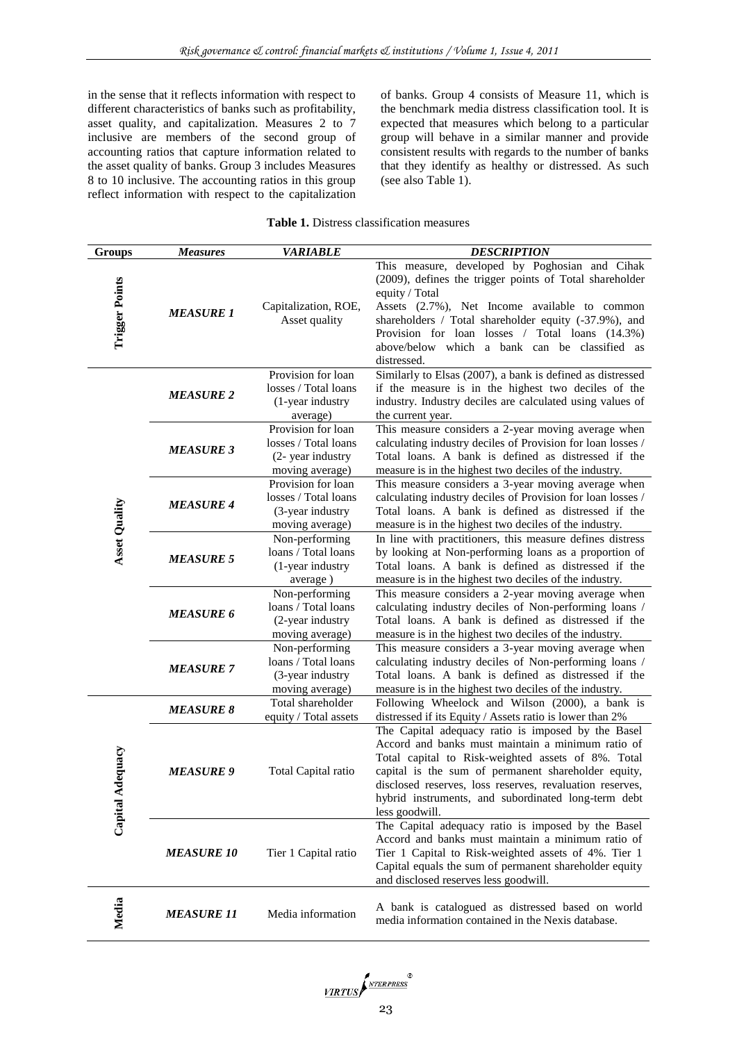in the sense that it reflects information with respect to different characteristics of banks such as profitability, asset quality, and capitalization. Measures 2 to 7 inclusive are members of the second group of accounting ratios that capture information related to the asset quality of banks. Group 3 includes Measures 8 to 10 inclusive. The accounting ratios in this group reflect information with respect to the capitalization

of banks. Group 4 consists of Measure 11, which is the benchmark media distress classification tool. It is expected that measures which belong to a particular group will behave in a similar manner and provide consistent results with regards to the number of banks that they identify as healthy or distressed. As such (see also Table 1).

|  | <b>Table 1.</b> Distress classification measures |  |
|--|--------------------------------------------------|--|
|--|--------------------------------------------------|--|

| <b>Groups</b>         | <b>Measures</b>   | <b>VARIABLE</b>                                                                    | <b>DESCRIPTION</b>                                                                                                                                                                                                                                                                                                                                        |
|-----------------------|-------------------|------------------------------------------------------------------------------------|-----------------------------------------------------------------------------------------------------------------------------------------------------------------------------------------------------------------------------------------------------------------------------------------------------------------------------------------------------------|
| <b>Trigger Points</b> | <b>MEASURE 1</b>  | Capitalization, ROE,<br>Asset quality                                              | This measure, developed by Poghosian and Cihak<br>(2009), defines the trigger points of Total shareholder<br>equity / Total<br>Assets (2.7%), Net Income available to common<br>shareholders / Total shareholder equity (-37.9%), and<br>Provision for loan losses / Total loans (14.3%)<br>above/below which a bank can be classified as<br>distressed.  |
|                       | <b>MEASURE 2</b>  | Provision for loan<br>losses / Total loans<br>(1-year industry<br>average)         | Similarly to Elsas (2007), a bank is defined as distressed<br>if the measure is in the highest two deciles of the<br>industry. Industry deciles are calculated using values of<br>the current year.                                                                                                                                                       |
|                       | <b>MEASURE 3</b>  | Provision for loan<br>losses / Total loans<br>(2- year industry<br>moving average) | This measure considers a 2-year moving average when<br>calculating industry deciles of Provision for loan losses /<br>Total loans. A bank is defined as distressed if the<br>measure is in the highest two deciles of the industry.                                                                                                                       |
| <b>Asset Quality</b>  | <b>MEASURE 4</b>  | Provision for loan<br>losses / Total loans<br>(3-year industry<br>moving average)  | This measure considers a 3-year moving average when<br>calculating industry deciles of Provision for loan losses /<br>Total loans. A bank is defined as distressed if the<br>measure is in the highest two deciles of the industry.                                                                                                                       |
|                       | <b>MEASURE 5</b>  | Non-performing<br>loans / Total loans<br>(1-year industry<br>average)              | In line with practitioners, this measure defines distress<br>by looking at Non-performing loans as a proportion of<br>Total loans. A bank is defined as distressed if the<br>measure is in the highest two deciles of the industry.                                                                                                                       |
|                       | <b>MEASURE 6</b>  | Non-performing<br>loans / Total loans<br>(2-year industry<br>moving average)       | This measure considers a 2-year moving average when<br>calculating industry deciles of Non-performing loans /<br>Total loans. A bank is defined as distressed if the<br>measure is in the highest two deciles of the industry.                                                                                                                            |
|                       | <b>MEASURE 7</b>  | Non-performing<br>loans / Total loans<br>(3-year industry<br>moving average)       | This measure considers a 3-year moving average when<br>calculating industry deciles of Non-performing loans /<br>Total loans. A bank is defined as distressed if the<br>measure is in the highest two deciles of the industry.                                                                                                                            |
|                       | <b>MEASURE 8</b>  | Total shareholder<br>equity / Total assets                                         | Following Wheelock and Wilson (2000), a bank is<br>distressed if its Equity / Assets ratio is lower than 2%                                                                                                                                                                                                                                               |
| Adequacy<br>Capital   | <b>MEASURE 9</b>  | Total Capital ratio                                                                | The Capital adequacy ratio is imposed by the Basel<br>Accord and banks must maintain a minimum ratio of<br>Total capital to Risk-weighted assets of 8%. Total<br>capital is the sum of permanent shareholder equity,<br>disclosed reserves, loss reserves, revaluation reserves,<br>hybrid instruments, and subordinated long-term debt<br>less goodwill. |
|                       | <b>MEASURE 10</b> | Tier 1 Capital ratio                                                               | The Capital adequacy ratio is imposed by the Basel<br>Accord and banks must maintain a minimum ratio of<br>Tier 1 Capital to Risk-weighted assets of 4%. Tier 1<br>Capital equals the sum of permanent shareholder equity<br>and disclosed reserves less goodwill.                                                                                        |
| Media                 | <b>MEASURE 11</b> | Media information                                                                  | A bank is catalogued as distressed based on world<br>media information contained in the Nexis database.                                                                                                                                                                                                                                                   |

VIRTUS PATERPRESS<sup>®</sup>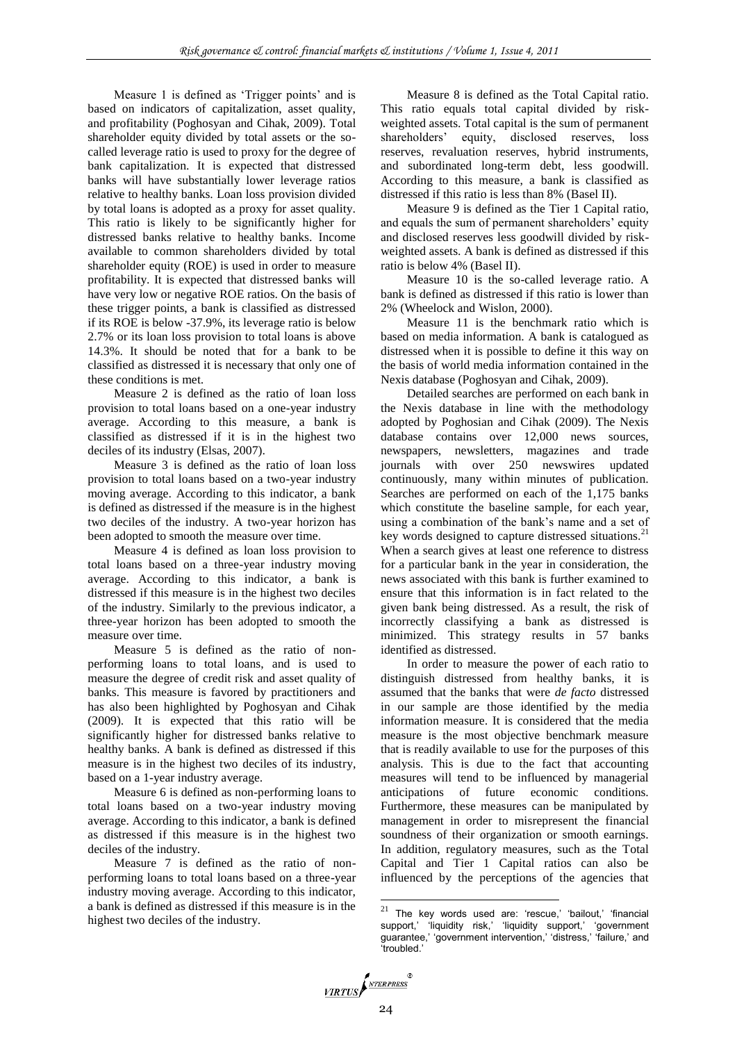Measure 1 is defined as 'Trigger points' and is based on indicators of capitalization, asset quality, and profitability (Poghosyan and Cihak, 2009). Total shareholder equity divided by total assets or the socalled leverage ratio is used to proxy for the degree of bank capitalization. It is expected that distressed banks will have substantially lower leverage ratios relative to healthy banks. Loan loss provision divided by total loans is adopted as a proxy for asset quality. This ratio is likely to be significantly higher for distressed banks relative to healthy banks. Income available to common shareholders divided by total shareholder equity (ROE) is used in order to measure profitability. It is expected that distressed banks will have very low or negative ROE ratios. On the basis of these trigger points, a bank is classified as distressed if its ROE is below -37.9%, its leverage ratio is below 2.7% or its loan loss provision to total loans is above 14.3%. It should be noted that for a bank to be classified as distressed it is necessary that only one of these conditions is met.

Measure 2 is defined as the ratio of loan loss provision to total loans based on a one-year industry average. According to this measure, a bank is classified as distressed if it is in the highest two deciles of its industry (Elsas, 2007).

Measure 3 is defined as the ratio of loan loss provision to total loans based on a two-year industry moving average. According to this indicator, a bank is defined as distressed if the measure is in the highest two deciles of the industry. A two-year horizon has been adopted to smooth the measure over time.

Measure 4 is defined as loan loss provision to total loans based on a three-year industry moving average. According to this indicator, a bank is distressed if this measure is in the highest two deciles of the industry. Similarly to the previous indicator, a three-year horizon has been adopted to smooth the measure over time.

Measure 5 is defined as the ratio of nonperforming loans to total loans, and is used to measure the degree of credit risk and asset quality of banks. This measure is favored by practitioners and has also been highlighted by Poghosyan and Cihak (2009). It is expected that this ratio will be significantly higher for distressed banks relative to healthy banks. A bank is defined as distressed if this measure is in the highest two deciles of its industry, based on a 1-year industry average.

Measure 6 is defined as non-performing loans to total loans based on a two-year industry moving average. According to this indicator, a bank is defined as distressed if this measure is in the highest two deciles of the industry.

Measure 7 is defined as the ratio of nonperforming loans to total loans based on a three-year industry moving average. According to this indicator, a bank is defined as distressed if this measure is in the highest two deciles of the industry.

Measure 8 is defined as the Total Capital ratio. This ratio equals total capital divided by riskweighted assets. Total capital is the sum of permanent shareholders" equity, disclosed reserves, loss reserves, revaluation reserves, hybrid instruments, and subordinated long-term debt, less goodwill. According to this measure, a bank is classified as distressed if this ratio is less than 8% (Basel II).

Measure 9 is defined as the Tier 1 Capital ratio, and equals the sum of permanent shareholders' equity and disclosed reserves less goodwill divided by riskweighted assets. A bank is defined as distressed if this ratio is below 4% (Basel II).

Measure 10 is the so-called leverage ratio. A bank is defined as distressed if this ratio is lower than 2% (Wheelock and Wislon, 2000).

Measure 11 is the benchmark ratio which is based on media information. A bank is catalogued as distressed when it is possible to define it this way on the basis of world media information contained in the Nexis database (Poghosyan and Cihak, 2009).

Detailed searches are performed on each bank in the Nexis database in line with the methodology adopted by Poghosian and Cihak (2009). The Nexis database contains over 12,000 news sources, newspapers, newsletters, magazines and trade journals with over 250 newswires updated continuously, many within minutes of publication. Searches are performed on each of the 1,175 banks which constitute the baseline sample, for each year, using a combination of the bank"s name and a set of key words designed to capture distressed situations.<sup>21</sup> When a search gives at least one reference to distress for a particular bank in the year in consideration, the news associated with this bank is further examined to ensure that this information is in fact related to the given bank being distressed. As a result, the risk of incorrectly classifying a bank as distressed is minimized. This strategy results in 57 banks identified as distressed.

In order to measure the power of each ratio to distinguish distressed from healthy banks, it is assumed that the banks that were *de facto* distressed in our sample are those identified by the media information measure. It is considered that the media measure is the most objective benchmark measure that is readily available to use for the purposes of this analysis. This is due to the fact that accounting measures will tend to be influenced by managerial anticipations of future economic conditions. Furthermore, these measures can be manipulated by management in order to misrepresent the financial soundness of their organization or smooth earnings. In addition, regulatory measures, such as the Total Capital and Tier 1 Capital ratios can also be influenced by the perceptions of the agencies that

-

 $21$  The key words used are: 'rescue,' 'bailout,' 'financial support,' 'liquidity risk,' 'liquidity support,' 'government guarantee,' 'government intervention,' 'distress,' 'failure,' and "troubled."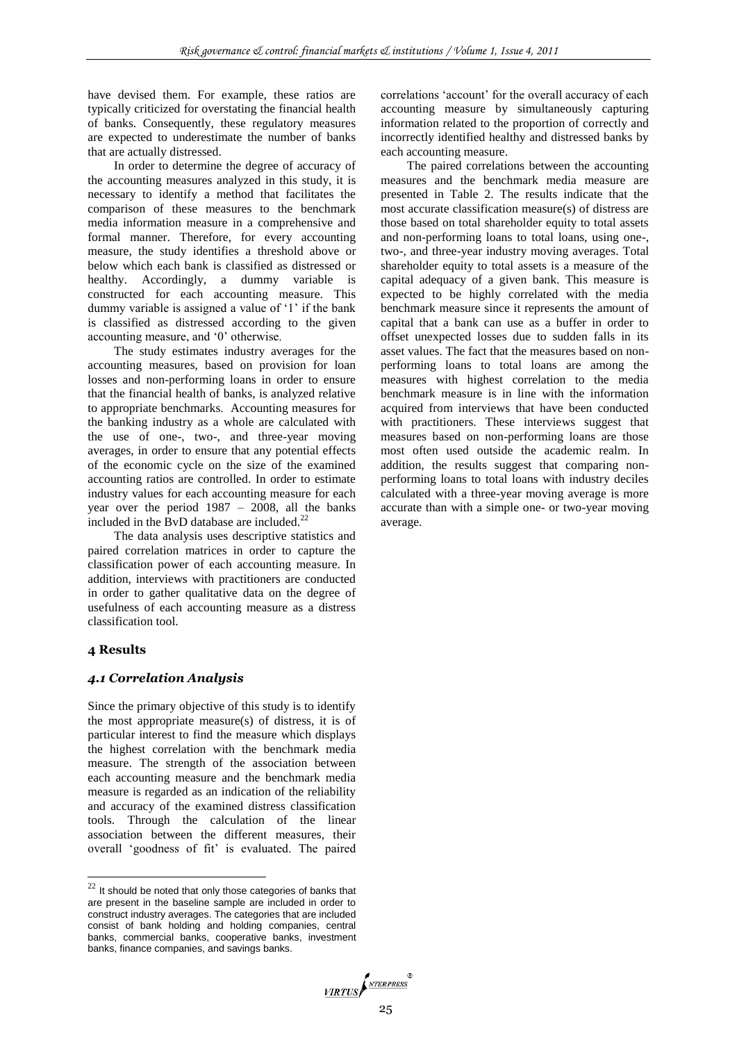have devised them. For example, these ratios are typically criticized for overstating the financial health of banks. Consequently, these regulatory measures are expected to underestimate the number of banks that are actually distressed.

In order to determine the degree of accuracy of the accounting measures analyzed in this study, it is necessary to identify a method that facilitates the comparison of these measures to the benchmark media information measure in a comprehensive and formal manner. Therefore, for every accounting measure, the study identifies a threshold above or below which each bank is classified as distressed or healthy. Accordingly, a dummy variable is constructed for each accounting measure. This dummy variable is assigned a value of '1' if the bank is classified as distressed according to the given accounting measure, and "0" otherwise.

The study estimates industry averages for the accounting measures, based on provision for loan losses and non-performing loans in order to ensure that the financial health of banks, is analyzed relative to appropriate benchmarks. Accounting measures for the banking industry as a whole are calculated with the use of one-, two-, and three-year moving averages, in order to ensure that any potential effects of the economic cycle on the size of the examined accounting ratios are controlled. In order to estimate industry values for each accounting measure for each year over the period 1987 – 2008, all the banks included in the BvD database are included.<sup>22</sup>

The data analysis uses descriptive statistics and paired correlation matrices in order to capture the classification power of each accounting measure. In addition, interviews with practitioners are conducted in order to gather qualitative data on the degree of usefulness of each accounting measure as a distress classification tool.

#### **4 Results**

 $\overline{a}$ 

#### *4.1 Correlation Analysis*

Since the primary objective of this study is to identify the most appropriate measure(s) of distress, it is of particular interest to find the measure which displays the highest correlation with the benchmark media measure. The strength of the association between each accounting measure and the benchmark media measure is regarded as an indication of the reliability and accuracy of the examined distress classification tools. Through the calculation of the linear association between the different measures, their overall 'goodness of fit' is evaluated. The paired correlations "account" for the overall accuracy of each accounting measure by simultaneously capturing information related to the proportion of correctly and incorrectly identified healthy and distressed banks by each accounting measure.

The paired correlations between the accounting measures and the benchmark media measure are presented in Table 2. The results indicate that the most accurate classification measure(s) of distress are those based on total shareholder equity to total assets and non-performing loans to total loans, using one-, two-, and three-year industry moving averages. Total shareholder equity to total assets is a measure of the capital adequacy of a given bank. This measure is expected to be highly correlated with the media benchmark measure since it represents the amount of capital that a bank can use as a buffer in order to offset unexpected losses due to sudden falls in its asset values. The fact that the measures based on nonperforming loans to total loans are among the measures with highest correlation to the media benchmark measure is in line with the information acquired from interviews that have been conducted with practitioners. These interviews suggest that measures based on non-performing loans are those most often used outside the academic realm. In addition, the results suggest that comparing nonperforming loans to total loans with industry deciles calculated with a three-year moving average is more accurate than with a simple one- or two-year moving average.



 $22$  It should be noted that only those categories of banks that are present in the baseline sample are included in order to construct industry averages. The categories that are included consist of bank holding and holding companies, central banks, commercial banks, cooperative banks, investment banks, finance companies, and savings banks.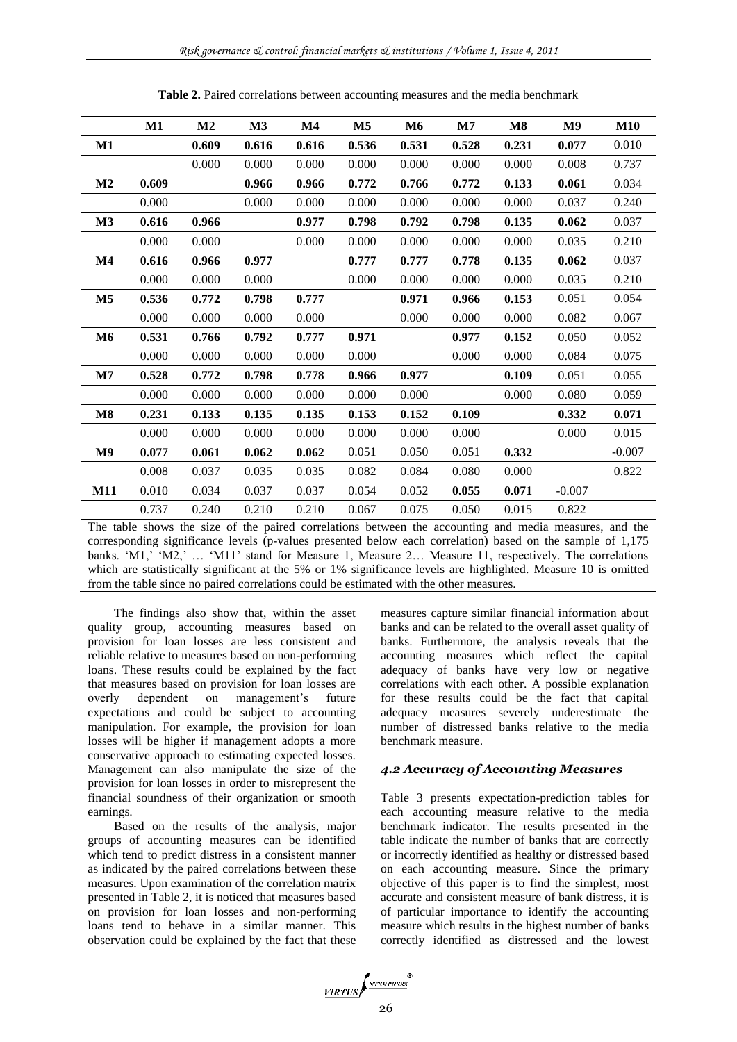|               | $\mathbf{M1}$ | M <sub>2</sub> | $\mathbf{M}3$ | M4    | M <sub>5</sub> | M6    | $\mathbf{M}$ 7 | $\overline{\text{M8}}$ | $\mathbf{M9}$ | <b>M10</b> |
|---------------|---------------|----------------|---------------|-------|----------------|-------|----------------|------------------------|---------------|------------|
| $\mathbf{M1}$ |               | 0.609          | 0.616         | 0.616 | 0.536          | 0.531 | 0.528          | 0.231                  | 0.077         | 0.010      |
|               |               | 0.000          | 0.000         | 0.000 | 0.000          | 0.000 | 0.000          | 0.000                  | 0.008         | 0.737      |
| $\mathbf{M2}$ | 0.609         |                | 0.966         | 0.966 | 0.772          | 0.766 | 0.772          | 0.133                  | 0.061         | 0.034      |
|               | 0.000         |                | 0.000         | 0.000 | 0.000          | 0.000 | 0.000          | 0.000                  | 0.037         | 0.240      |
| M3            | 0.616         | 0.966          |               | 0.977 | 0.798          | 0.792 | 0.798          | 0.135                  | 0.062         | 0.037      |
|               | 0.000         | 0.000          |               | 0.000 | 0.000          | 0.000 | 0.000          | 0.000                  | 0.035         | 0.210      |
| $\mathbf{M}4$ | 0.616         | 0.966          | 0.977         |       | 0.777          | 0.777 | 0.778          | 0.135                  | 0.062         | 0.037      |
|               | 0.000         | 0.000          | 0.000         |       | 0.000          | 0.000 | 0.000          | 0.000                  | 0.035         | 0.210      |
| $\mathbf{M5}$ | 0.536         | 0.772          | 0.798         | 0.777 |                | 0.971 | 0.966          | 0.153                  | 0.051         | 0.054      |
|               | 0.000         | 0.000          | 0.000         | 0.000 |                | 0.000 | 0.000          | 0.000                  | 0.082         | 0.067      |
| M6            | 0.531         | 0.766          | 0.792         | 0.777 | 0.971          |       | 0.977          | 0.152                  | 0.050         | 0.052      |
|               | 0.000         | 0.000          | 0.000         | 0.000 | 0.000          |       | 0.000          | 0.000                  | 0.084         | 0.075      |
| $\mathbf{M7}$ | 0.528         | 0.772          | 0.798         | 0.778 | 0.966          | 0.977 |                | 0.109                  | 0.051         | 0.055      |
|               | 0.000         | 0.000          | 0.000         | 0.000 | 0.000          | 0.000 |                | 0.000                  | 0.080         | 0.059      |
| $\mathbf{M8}$ | 0.231         | 0.133          | 0.135         | 0.135 | 0.153          | 0.152 | 0.109          |                        | 0.332         | 0.071      |
|               | 0.000         | 0.000          | 0.000         | 0.000 | 0.000          | 0.000 | 0.000          |                        | 0.000         | 0.015      |
| M9            | 0.077         | 0.061          | 0.062         | 0.062 | 0.051          | 0.050 | 0.051          | 0.332                  |               | $-0.007$   |
|               | 0.008         | 0.037          | 0.035         | 0.035 | 0.082          | 0.084 | 0.080          | 0.000                  |               | 0.822      |
| <b>M11</b>    | 0.010         | 0.034          | 0.037         | 0.037 | 0.054          | 0.052 | 0.055          | 0.071                  | $-0.007$      |            |
|               | 0.737         | 0.240          | 0.210         | 0.210 | 0.067          | 0.075 | 0.050          | 0.015                  | 0.822         |            |

**Table 2.** Paired correlations between accounting measures and the media benchmark

The table shows the size of the paired correlations between the accounting and media measures, and the corresponding significance levels (p-values presented below each correlation) based on the sample of 1,175 banks. 'M1,' 'M2,' ... 'M11' stand for Measure 1, Measure 2... Measure 11, respectively. The correlations which are statistically significant at the 5% or 1% significance levels are highlighted. Measure 10 is omitted from the table since no paired correlations could be estimated with the other measures.

The findings also show that, within the asset quality group, accounting measures based on provision for loan losses are less consistent and reliable relative to measures based on non-performing loans. These results could be explained by the fact that measures based on provision for loan losses are overly dependent on management"s future expectations and could be subject to accounting manipulation. For example, the provision for loan losses will be higher if management adopts a more conservative approach to estimating expected losses. Management can also manipulate the size of the provision for loan losses in order to misrepresent the financial soundness of their organization or smooth earnings.

Based on the results of the analysis, major groups of accounting measures can be identified which tend to predict distress in a consistent manner as indicated by the paired correlations between these measures. Upon examination of the correlation matrix presented in Table 2, it is noticed that measures based on provision for loan losses and non-performing loans tend to behave in a similar manner. This observation could be explained by the fact that these

measures capture similar financial information about banks and can be related to the overall asset quality of banks. Furthermore, the analysis reveals that the accounting measures which reflect the capital adequacy of banks have very low or negative correlations with each other. A possible explanation for these results could be the fact that capital adequacy measures severely underestimate the number of distressed banks relative to the media benchmark measure.

#### *4.2 Accuracy of Accounting Measures*

Table 3 presents expectation-prediction tables for each accounting measure relative to the media benchmark indicator. The results presented in the table indicate the number of banks that are correctly or incorrectly identified as healthy or distressed based on each accounting measure. Since the primary objective of this paper is to find the simplest, most accurate and consistent measure of bank distress, it is of particular importance to identify the accounting measure which results in the highest number of banks correctly identified as distressed and the lowest

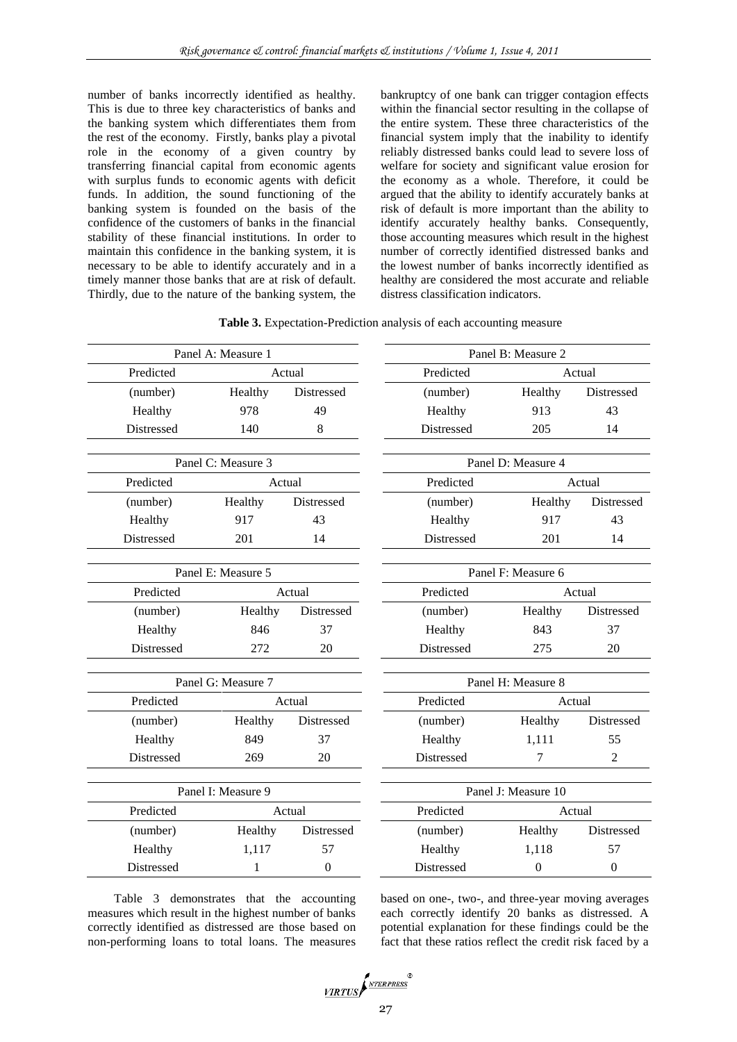number of banks incorrectly identified as healthy. This is due to three key characteristics of banks and the banking system which differentiates them from the rest of the economy. Firstly, banks play a pivotal role in the economy of a given country by transferring financial capital from economic agents with surplus funds to economic agents with deficit funds. In addition, the sound functioning of the banking system is founded on the basis of the confidence of the customers of banks in the financial stability of these financial institutions. In order to maintain this confidence in the banking system, it is necessary to be able to identify accurately and in a timely manner those banks that are at risk of default. Thirdly, due to the nature of the banking system, the

bankruptcy of one bank can trigger contagion effects within the financial sector resulting in the collapse of the entire system. These three characteristics of the financial system imply that the inability to identify reliably distressed banks could lead to severe loss of welfare for society and significant value erosion for the economy as a whole. Therefore, it could be argued that the ability to identify accurately banks at risk of default is more important than the ability to identify accurately healthy banks. Consequently, those accounting measures which result in the highest number of correctly identified distressed banks and the lowest number of banks incorrectly identified as healthy are considered the most accurate and reliable distress classification indicators.

**Table 3.** Expectation-Prediction analysis of each accounting measure

| Panel A: Measure 1 |                    |                   | Panel B: Measure 2  |                    |                   |  |  |  |
|--------------------|--------------------|-------------------|---------------------|--------------------|-------------------|--|--|--|
| Predicted          | Actual             |                   | Predicted           |                    | Actual            |  |  |  |
| (number)           | Healthy            | <b>Distressed</b> | (number)            | Healthy            | <b>Distressed</b> |  |  |  |
| Healthy            | 978                | 49                | Healthy             | 913                | 43                |  |  |  |
| Distressed         | 140                | 8                 | Distressed          | 205                | 14                |  |  |  |
|                    |                    |                   |                     |                    |                   |  |  |  |
|                    | Panel C: Measure 3 |                   |                     | Panel D: Measure 4 |                   |  |  |  |
| Predicted          |                    | Actual            | Predicted           |                    | Actual            |  |  |  |
| (number)           | Healthy            | Distressed        | (number)            | Healthy            | Distressed        |  |  |  |
| Healthy            | 917                | 43                | Healthy             | 917                | 43                |  |  |  |
| Distressed         | 201                | 14                | Distressed          | 201                | 14                |  |  |  |
|                    |                    |                   |                     |                    |                   |  |  |  |
|                    | Panel E: Measure 5 |                   |                     | Panel F: Measure 6 |                   |  |  |  |
| Predicted          |                    | Actual            | Predicted           | Actual             |                   |  |  |  |
| (number)           | Healthy            | Distressed        | (number)            | Healthy            | Distressed        |  |  |  |
| Healthy            | 846                | 37                | Healthy             | 843                | 37                |  |  |  |
| Distressed         | 272                | 20                | Distressed          | 275                | 20                |  |  |  |
| Panel G: Measure 7 |                    |                   |                     | Panel H: Measure 8 |                   |  |  |  |
| Predicted          |                    | Actual            | Predicted           | Actual             |                   |  |  |  |
| (number)           | Healthy            | Distressed        | (number)            | Healthy            | Distressed        |  |  |  |
| Healthy            | 849                | 37                | Healthy             | 1,111              | 55                |  |  |  |
| Distressed         | 269                | 20                | <b>Distressed</b>   | 7                  | 2                 |  |  |  |
|                    |                    |                   |                     |                    |                   |  |  |  |
| Panel I: Measure 9 |                    |                   | Panel J: Measure 10 |                    |                   |  |  |  |
| Predicted          | Actual             |                   | Predicted           | Actual             |                   |  |  |  |
| (number)           | Healthy            | Distressed        | (number)            | Healthy            | Distressed        |  |  |  |
| Healthy            | 1,117              | 57                | Healthy             | 1,118              | 57                |  |  |  |
| <b>Distressed</b>  | $\mathbf{1}$       | $\mathbf{0}$      | Distressed          | $\boldsymbol{0}$   | $\mathbf{0}$      |  |  |  |
|                    |                    |                   |                     |                    |                   |  |  |  |

Table 3 demonstrates that the accounting measures which result in the highest number of banks correctly identified as distressed are those based on non-performing loans to total loans. The measures based on one-, two-, and three-year moving averages each correctly identify 20 banks as distressed. A potential explanation for these findings could be the fact that these ratios reflect the credit risk faced by a

$$
\underbrace{\textit{virtus}} \left( \textit{Niterpress}^{\circ} \right)
$$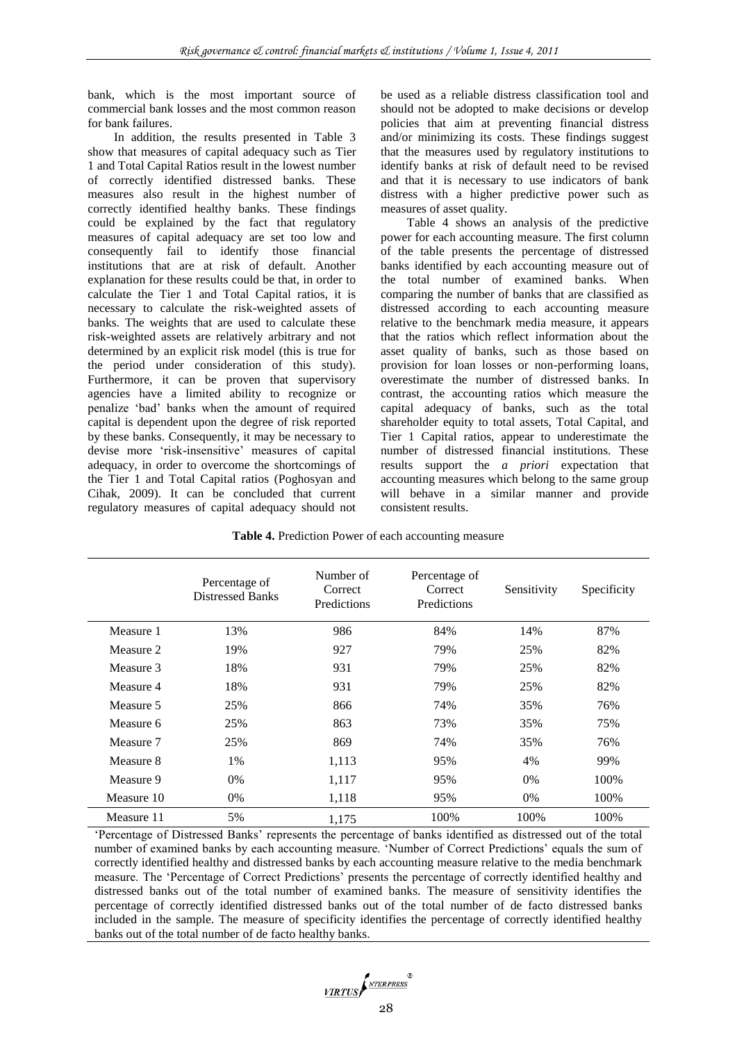bank, which is the most important source of commercial bank losses and the most common reason for bank failures.

In addition, the results presented in Table 3 show that measures of capital adequacy such as Tier 1 and Total Capital Ratios result in the lowest number of correctly identified distressed banks. These measures also result in the highest number of correctly identified healthy banks. These findings could be explained by the fact that regulatory measures of capital adequacy are set too low and consequently fail to identify those financial institutions that are at risk of default. Another explanation for these results could be that, in order to calculate the Tier 1 and Total Capital ratios, it is necessary to calculate the risk-weighted assets of banks. The weights that are used to calculate these risk-weighted assets are relatively arbitrary and not determined by an explicit risk model (this is true for the period under consideration of this study). Furthermore, it can be proven that supervisory agencies have a limited ability to recognize or penalize "bad" banks when the amount of required capital is dependent upon the degree of risk reported by these banks. Consequently, it may be necessary to devise more 'risk-insensitive' measures of capital adequacy, in order to overcome the shortcomings of the Tier 1 and Total Capital ratios (Poghosyan and Cihak, 2009). It can be concluded that current regulatory measures of capital adequacy should not be used as a reliable distress classification tool and should not be adopted to make decisions or develop policies that aim at preventing financial distress and/or minimizing its costs. These findings suggest that the measures used by regulatory institutions to identify banks at risk of default need to be revised and that it is necessary to use indicators of bank distress with a higher predictive power such as measures of asset quality.

Table 4 shows an analysis of the predictive power for each accounting measure. The first column of the table presents the percentage of distressed banks identified by each accounting measure out of the total number of examined banks. When comparing the number of banks that are classified as distressed according to each accounting measure relative to the benchmark media measure, it appears that the ratios which reflect information about the asset quality of banks, such as those based on provision for loan losses or non-performing loans, overestimate the number of distressed banks. In contrast, the accounting ratios which measure the capital adequacy of banks, such as the total shareholder equity to total assets, Total Capital, and Tier 1 Capital ratios, appear to underestimate the number of distressed financial institutions. These results support the *a priori* expectation that accounting measures which belong to the same group will behave in a similar manner and provide consistent results.

|  |  | Table 4. Prediction Power of each accounting measure |  |
|--|--|------------------------------------------------------|--|
|  |  |                                                      |  |

|            | Percentage of<br><b>Distressed Banks</b> | Number of<br>Correct<br>Predictions | Percentage of<br>Correct<br>Predictions | Sensitivity | Specificity |
|------------|------------------------------------------|-------------------------------------|-----------------------------------------|-------------|-------------|
| Measure 1  | 13%                                      | 986                                 | 84%                                     | 14%         | 87%         |
| Measure 2  | 19%                                      | 927                                 | 79%                                     | 25%         | 82%         |
| Measure 3  | 18%                                      | 931                                 | 79%                                     | 25%         | 82%         |
| Measure 4  | 18%                                      | 931                                 | 79%                                     | 25%         | 82%         |
| Measure 5  | 25%                                      | 866                                 | 74%                                     | 35%         | 76%         |
| Measure 6  | 25%                                      | 863                                 | 73%                                     | 35%         | 75%         |
| Measure 7  | 25%                                      | 869                                 | 74%                                     | 35%         | 76%         |
| Measure 8  | $1\%$                                    | 1,113                               | 95%                                     | 4%          | 99%         |
| Measure 9  | 0%                                       | 1,117                               | 95%                                     | 0%          | 100%        |
| Measure 10 | $0\%$                                    | 1,118                               | 95%                                     | $0\%$       | 100%        |
| Measure 11 | 5%                                       | 1,175                               | 100%                                    | 100%        | 100\%       |

"Percentage of Distressed Banks" represents the percentage of banks identified as distressed out of the total number of examined banks by each accounting measure. "Number of Correct Predictions" equals the sum of correctly identified healthy and distressed banks by each accounting measure relative to the media benchmark measure. The "Percentage of Correct Predictions" presents the percentage of correctly identified healthy and distressed banks out of the total number of examined banks. The measure of sensitivity identifies the percentage of correctly identified distressed banks out of the total number of de facto distressed banks included in the sample. The measure of specificity identifies the percentage of correctly identified healthy banks out of the total number of de facto healthy banks.

$$
\underbrace{\textit{VIRTUS}} \textit{f}^{\textit{NTERPRESS}}_{\textit{NTERPRESS}}
$$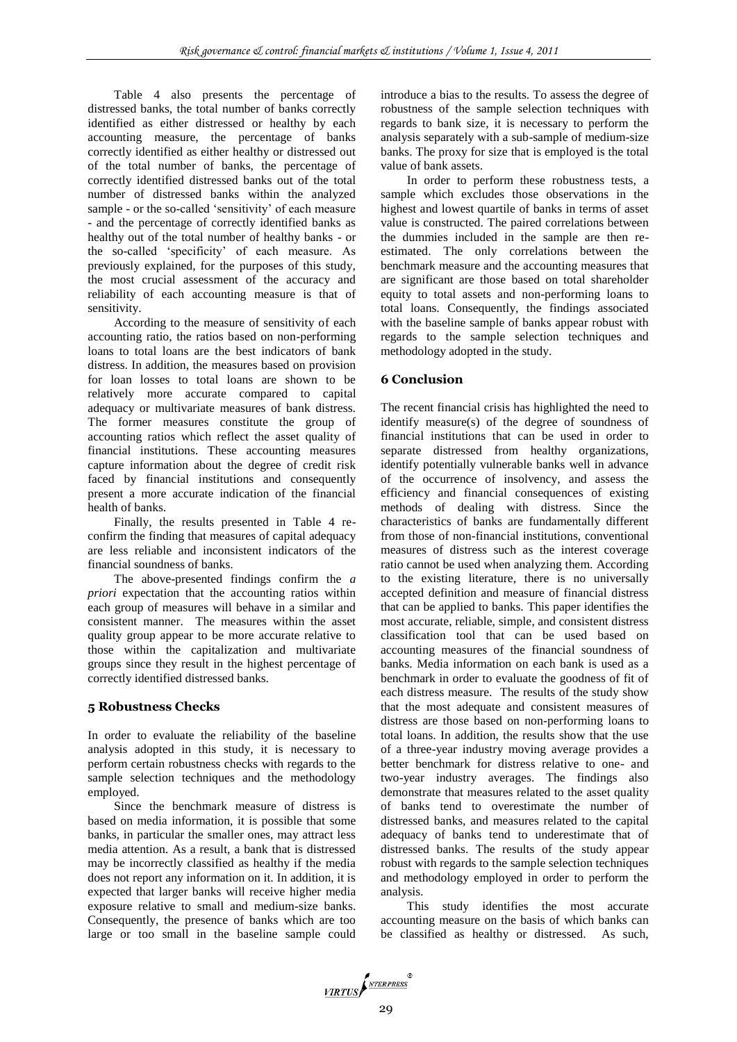Table 4 also presents the percentage of distressed banks, the total number of banks correctly identified as either distressed or healthy by each accounting measure, the percentage of banks correctly identified as either healthy or distressed out of the total number of banks, the percentage of correctly identified distressed banks out of the total number of distressed banks within the analyzed sample - or the so-called 'sensitivity' of each measure - and the percentage of correctly identified banks as healthy out of the total number of healthy banks - or the so-called "specificity" of each measure. As previously explained, for the purposes of this study, the most crucial assessment of the accuracy and reliability of each accounting measure is that of sensitivity.

According to the measure of sensitivity of each accounting ratio, the ratios based on non-performing loans to total loans are the best indicators of bank distress. In addition, the measures based on provision for loan losses to total loans are shown to be relatively more accurate compared to capital adequacy or multivariate measures of bank distress. The former measures constitute the group of accounting ratios which reflect the asset quality of financial institutions. These accounting measures capture information about the degree of credit risk faced by financial institutions and consequently present a more accurate indication of the financial health of banks.

Finally, the results presented in Table 4 reconfirm the finding that measures of capital adequacy are less reliable and inconsistent indicators of the financial soundness of banks.

The above-presented findings confirm the *a priori* expectation that the accounting ratios within each group of measures will behave in a similar and consistent manner. The measures within the asset quality group appear to be more accurate relative to those within the capitalization and multivariate groups since they result in the highest percentage of correctly identified distressed banks.

## **5 Robustness Checks**

In order to evaluate the reliability of the baseline analysis adopted in this study, it is necessary to perform certain robustness checks with regards to the sample selection techniques and the methodology employed.

Since the benchmark measure of distress is based on media information, it is possible that some banks, in particular the smaller ones, may attract less media attention. As a result, a bank that is distressed may be incorrectly classified as healthy if the media does not report any information on it. In addition, it is expected that larger banks will receive higher media exposure relative to small and medium-size banks. Consequently, the presence of banks which are too large or too small in the baseline sample could

introduce a bias to the results. To assess the degree of robustness of the sample selection techniques with regards to bank size, it is necessary to perform the analysis separately with a sub-sample of medium-size banks. The proxy for size that is employed is the total value of bank assets.

In order to perform these robustness tests, a sample which excludes those observations in the highest and lowest quartile of banks in terms of asset value is constructed. The paired correlations between the dummies included in the sample are then reestimated. The only correlations between the benchmark measure and the accounting measures that are significant are those based on total shareholder equity to total assets and non-performing loans to total loans. Consequently, the findings associated with the baseline sample of banks appear robust with regards to the sample selection techniques and methodology adopted in the study.

# **6 Conclusion**

The recent financial crisis has highlighted the need to identify measure(s) of the degree of soundness of financial institutions that can be used in order to separate distressed from healthy organizations, identify potentially vulnerable banks well in advance of the occurrence of insolvency, and assess the efficiency and financial consequences of existing methods of dealing with distress. Since the characteristics of banks are fundamentally different from those of non-financial institutions, conventional measures of distress such as the interest coverage ratio cannot be used when analyzing them. According to the existing literature, there is no universally accepted definition and measure of financial distress that can be applied to banks. This paper identifies the most accurate, reliable, simple, and consistent distress classification tool that can be used based on accounting measures of the financial soundness of banks. Media information on each bank is used as a benchmark in order to evaluate the goodness of fit of each distress measure. The results of the study show that the most adequate and consistent measures of distress are those based on non-performing loans to total loans. In addition, the results show that the use of a three-year industry moving average provides a better benchmark for distress relative to one- and two-year industry averages. The findings also demonstrate that measures related to the asset quality of banks tend to overestimate the number of distressed banks, and measures related to the capital adequacy of banks tend to underestimate that of distressed banks. The results of the study appear robust with regards to the sample selection techniques and methodology employed in order to perform the analysis.

This study identifies the most accurate accounting measure on the basis of which banks can be classified as healthy or distressed. As such,